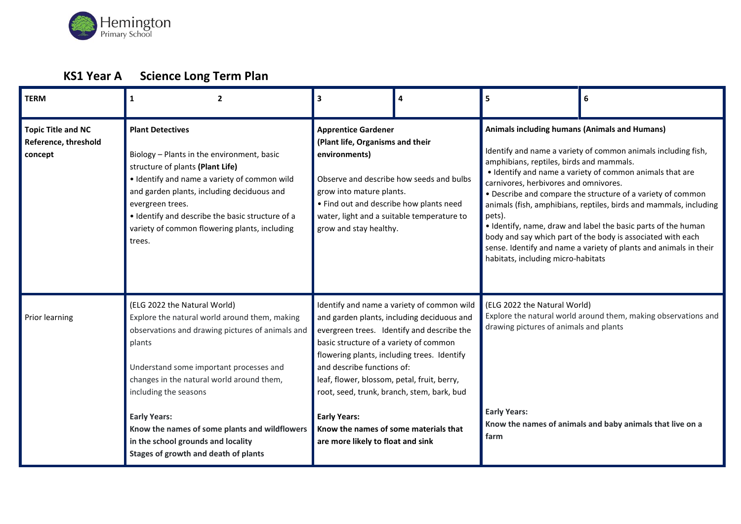

# **KS1 Year A Science Long Term Plan**

| <b>TERM</b>                                                  | $\overline{2}$<br>1                                                                                                                                                                                                                                                                                                                                                                                                | 3                                                                                                                                                                                                                                                                                                                     | 4                                                                                                                                      | 5                                                                                                                                                                                                                                                                                                                                                                                                                                                                                                                                                                                                                                                        | 6 |
|--------------------------------------------------------------|--------------------------------------------------------------------------------------------------------------------------------------------------------------------------------------------------------------------------------------------------------------------------------------------------------------------------------------------------------------------------------------------------------------------|-----------------------------------------------------------------------------------------------------------------------------------------------------------------------------------------------------------------------------------------------------------------------------------------------------------------------|----------------------------------------------------------------------------------------------------------------------------------------|----------------------------------------------------------------------------------------------------------------------------------------------------------------------------------------------------------------------------------------------------------------------------------------------------------------------------------------------------------------------------------------------------------------------------------------------------------------------------------------------------------------------------------------------------------------------------------------------------------------------------------------------------------|---|
| <b>Topic Title and NC</b><br>Reference, threshold<br>concept | <b>Plant Detectives</b><br>Biology - Plants in the environment, basic<br>structure of plants (Plant Life)<br>• Identify and name a variety of common wild<br>and garden plants, including deciduous and<br>evergreen trees.<br>. Identify and describe the basic structure of a<br>variety of common flowering plants, including<br>trees.                                                                         | <b>Apprentice Gardener</b><br>(Plant life, Organisms and their<br>environments)<br>grow into mature plants.<br>• Find out and describe how plants need<br>water, light and a suitable temperature to<br>grow and stay healthy.                                                                                        | Observe and describe how seeds and bulbs                                                                                               | Animals including humans (Animals and Humans)<br>Identify and name a variety of common animals including fish,<br>amphibians, reptiles, birds and mammals.<br>• Identify and name a variety of common animals that are<br>carnivores, herbivores and omnivores.<br>• Describe and compare the structure of a variety of common<br>animals (fish, amphibians, reptiles, birds and mammals, including<br>pets).<br>• Identify, name, draw and label the basic parts of the human<br>body and say which part of the body is associated with each<br>sense. Identify and name a variety of plants and animals in their<br>habitats, including micro-habitats |   |
| Prior learning                                               | (ELG 2022 the Natural World)<br>Explore the natural world around them, making<br>observations and drawing pictures of animals and<br>plants<br>Understand some important processes and<br>changes in the natural world around them,<br>including the seasons<br><b>Early Years:</b><br>Know the names of some plants and wildflowers<br>in the school grounds and locality<br>Stages of growth and death of plants | basic structure of a variety of common<br>flowering plants, including trees. Identify<br>and describe functions of:<br>leaf, flower, blossom, petal, fruit, berry,<br>root, seed, trunk, branch, stem, bark, bud<br><b>Early Years:</b><br>Know the names of some materials that<br>are more likely to float and sink | Identify and name a variety of common wild<br>and garden plants, including deciduous and<br>evergreen trees. Identify and describe the | (ELG 2022 the Natural World)<br>Explore the natural world around them, making observations and<br>drawing pictures of animals and plants<br><b>Early Years:</b><br>Know the names of animals and baby animals that live on a<br>farm                                                                                                                                                                                                                                                                                                                                                                                                                     |   |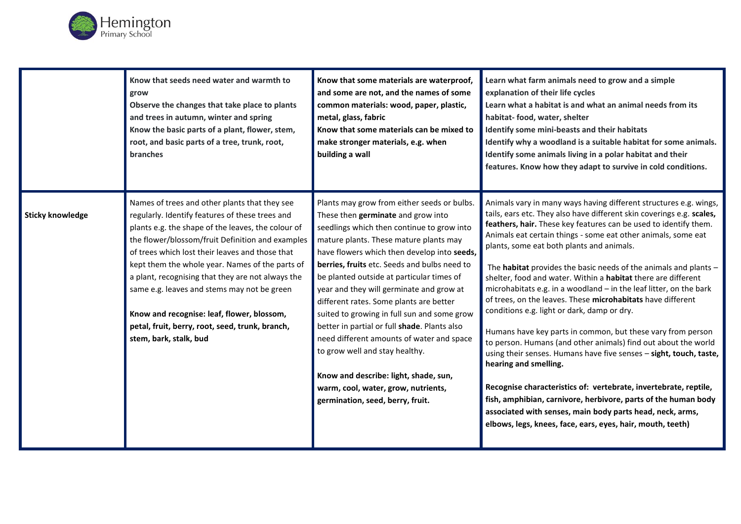

|                         | Know that seeds need water and warmth to<br>grow<br>Observe the changes that take place to plants<br>and trees in autumn, winter and spring<br>Know the basic parts of a plant, flower, stem,<br>root, and basic parts of a tree, trunk, root,<br><b>branches</b>                                                                                                                                                                                                                                                                               | Know that some materials are waterproof,<br>and some are not, and the names of some<br>common materials: wood, paper, plastic,<br>metal, glass, fabric<br>Know that some materials can be mixed to<br>make stronger materials, e.g. when<br>building a wall                                                                                                                                                                                                                                                                                                                                                                                                                                                    | Learn what farm animals need to grow and a simple<br>explanation of their life cycles<br>Learn what a habitat is and what an animal needs from its<br>habitat- food, water, shelter<br>Identify some mini-beasts and their habitats<br>Identify why a woodland is a suitable habitat for some animals.<br>Identify some animals living in a polar habitat and their<br>features. Know how they adapt to survive in cold conditions.                                                                                                                                                                                                                                                                                                                                                                                                                                                                                                                                                                                                                                                                                                                    |
|-------------------------|-------------------------------------------------------------------------------------------------------------------------------------------------------------------------------------------------------------------------------------------------------------------------------------------------------------------------------------------------------------------------------------------------------------------------------------------------------------------------------------------------------------------------------------------------|----------------------------------------------------------------------------------------------------------------------------------------------------------------------------------------------------------------------------------------------------------------------------------------------------------------------------------------------------------------------------------------------------------------------------------------------------------------------------------------------------------------------------------------------------------------------------------------------------------------------------------------------------------------------------------------------------------------|--------------------------------------------------------------------------------------------------------------------------------------------------------------------------------------------------------------------------------------------------------------------------------------------------------------------------------------------------------------------------------------------------------------------------------------------------------------------------------------------------------------------------------------------------------------------------------------------------------------------------------------------------------------------------------------------------------------------------------------------------------------------------------------------------------------------------------------------------------------------------------------------------------------------------------------------------------------------------------------------------------------------------------------------------------------------------------------------------------------------------------------------------------|
| <b>Sticky knowledge</b> | Names of trees and other plants that they see<br>regularly. Identify features of these trees and<br>plants e.g. the shape of the leaves, the colour of<br>the flower/blossom/fruit Definition and examples<br>of trees which lost their leaves and those that<br>kept them the whole year. Names of the parts of<br>a plant, recognising that they are not always the<br>same e.g. leaves and stems may not be green<br>Know and recognise: leaf, flower, blossom,<br>petal, fruit, berry, root, seed, trunk, branch,<br>stem, bark, stalk, bud | Plants may grow from either seeds or bulbs.<br>These then germinate and grow into<br>seedlings which then continue to grow into<br>mature plants. These mature plants may<br>have flowers which then develop into seeds,<br>berries, fruits etc. Seeds and bulbs need to<br>be planted outside at particular times of<br>year and they will germinate and grow at<br>different rates. Some plants are better<br>suited to growing in full sun and some grow<br>better in partial or full shade. Plants also<br>need different amounts of water and space<br>to grow well and stay healthy.<br>Know and describe: light, shade, sun,<br>warm, cool, water, grow, nutrients,<br>germination, seed, berry, fruit. | Animals vary in many ways having different structures e.g. wings,<br>tails, ears etc. They also have different skin coverings e.g. scales,<br>feathers, hair. These key features can be used to identify them.<br>Animals eat certain things - some eat other animals, some eat<br>plants, some eat both plants and animals.<br>The habitat provides the basic needs of the animals and plants -<br>shelter, food and water. Within a habitat there are different<br>microhabitats e.g. in a woodland - in the leaf litter, on the bark<br>of trees, on the leaves. These microhabitats have different<br>conditions e.g. light or dark, damp or dry.<br>Humans have key parts in common, but these vary from person<br>to person. Humans (and other animals) find out about the world<br>using their senses. Humans have five senses - sight, touch, taste,<br>hearing and smelling.<br>Recognise characteristics of: vertebrate, invertebrate, reptile,<br>fish, amphibian, carnivore, herbivore, parts of the human body<br>associated with senses, main body parts head, neck, arms,<br>elbows, legs, knees, face, ears, eyes, hair, mouth, teeth) |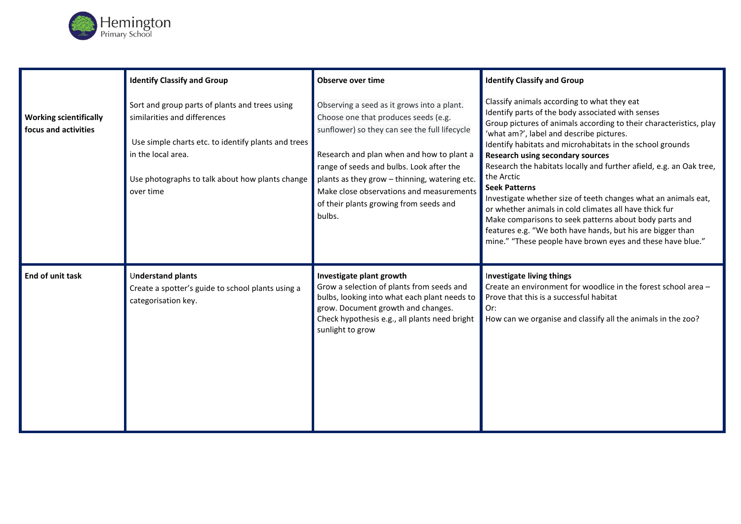

|                                                       | <b>Identify Classify and Group</b>                                                                                                                                                                                          | Observe over time                                                                                                                                                                                                                                                                                                                                                             | <b>Identify Classify and Group</b>                                                                                                                                                                                                                                                                                                                                                                                                                                                                                                                                                                                                                                                                                                                        |
|-------------------------------------------------------|-----------------------------------------------------------------------------------------------------------------------------------------------------------------------------------------------------------------------------|-------------------------------------------------------------------------------------------------------------------------------------------------------------------------------------------------------------------------------------------------------------------------------------------------------------------------------------------------------------------------------|-----------------------------------------------------------------------------------------------------------------------------------------------------------------------------------------------------------------------------------------------------------------------------------------------------------------------------------------------------------------------------------------------------------------------------------------------------------------------------------------------------------------------------------------------------------------------------------------------------------------------------------------------------------------------------------------------------------------------------------------------------------|
| <b>Working scientifically</b><br>focus and activities | Sort and group parts of plants and trees using<br>similarities and differences<br>Use simple charts etc. to identify plants and trees<br>in the local area.<br>Use photographs to talk about how plants change<br>over time | Observing a seed as it grows into a plant.<br>Choose one that produces seeds (e.g.<br>sunflower) so they can see the full lifecycle<br>Research and plan when and how to plant a<br>range of seeds and bulbs. Look after the<br>plants as they grow - thinning, watering etc.<br>Make close observations and measurements<br>of their plants growing from seeds and<br>bulbs. | Classify animals according to what they eat<br>Identify parts of the body associated with senses<br>Group pictures of animals according to their characteristics, play<br>'what am?', label and describe pictures.<br>Identify habitats and microhabitats in the school grounds<br><b>Research using secondary sources</b><br>Research the habitats locally and further afield, e.g. an Oak tree,<br>the Arctic<br><b>Seek Patterns</b><br>Investigate whether size of teeth changes what an animals eat,<br>or whether animals in cold climates all have thick fur<br>Make comparisons to seek patterns about body parts and<br>features e.g. "We both have hands, but his are bigger than<br>mine." "These people have brown eyes and these have blue." |
| End of unit task                                      | Understand plants<br>Create a spotter's guide to school plants using a<br>categorisation key.                                                                                                                               | Investigate plant growth<br>Grow a selection of plants from seeds and<br>bulbs, looking into what each plant needs to<br>grow. Document growth and changes.<br>Check hypothesis e.g., all plants need bright<br>sunlight to grow                                                                                                                                              | Investigate living things<br>Create an environment for woodlice in the forest school area -<br>Prove that this is a successful habitat<br>Or:<br>How can we organise and classify all the animals in the zoo?                                                                                                                                                                                                                                                                                                                                                                                                                                                                                                                                             |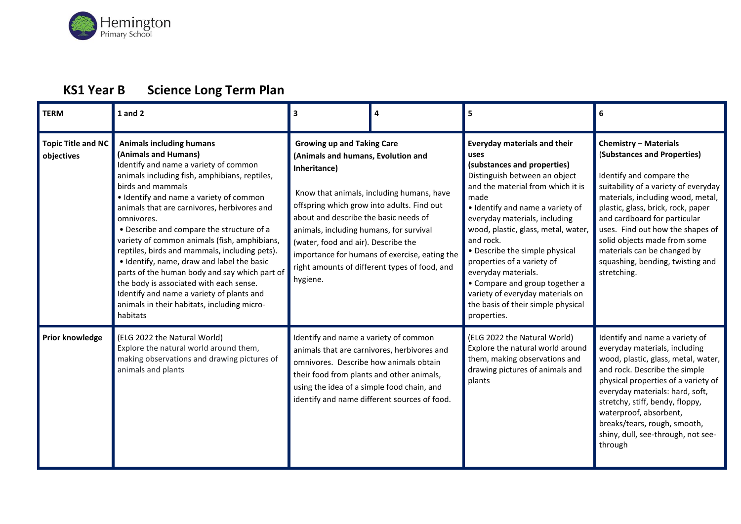

## **KS1 Year B Science Long Term Plan**

| <b>TERM</b>                             | $1$ and $2$                                                                                                                                                                                                                                                                                                                                                                                                                                                                                                                                                                                                                                                                    | 3                                                                                                                                                                                                                                                                            | 4                                                                                                                                           | 5                                                                                                                                                                                                                                                                                                                                                                                                                                                                                                   | 6                                                                                                                                                                                                                                                                                                                                                                                                |
|-----------------------------------------|--------------------------------------------------------------------------------------------------------------------------------------------------------------------------------------------------------------------------------------------------------------------------------------------------------------------------------------------------------------------------------------------------------------------------------------------------------------------------------------------------------------------------------------------------------------------------------------------------------------------------------------------------------------------------------|------------------------------------------------------------------------------------------------------------------------------------------------------------------------------------------------------------------------------------------------------------------------------|---------------------------------------------------------------------------------------------------------------------------------------------|-----------------------------------------------------------------------------------------------------------------------------------------------------------------------------------------------------------------------------------------------------------------------------------------------------------------------------------------------------------------------------------------------------------------------------------------------------------------------------------------------------|--------------------------------------------------------------------------------------------------------------------------------------------------------------------------------------------------------------------------------------------------------------------------------------------------------------------------------------------------------------------------------------------------|
| <b>Topic Title and NC</b><br>objectives | <b>Animals including humans</b><br>(Animals and Humans)<br>Identify and name a variety of common<br>animals including fish, amphibians, reptiles,<br>birds and mammals<br>• Identify and name a variety of common<br>animals that are carnivores, herbivores and<br>omnivores.<br>• Describe and compare the structure of a<br>variety of common animals (fish, amphibians,<br>reptiles, birds and mammals, including pets).<br>. Identify, name, draw and label the basic<br>parts of the human body and say which part of<br>the body is associated with each sense.<br>Identify and name a variety of plants and<br>animals in their habitats, including micro-<br>habitats | <b>Growing up and Taking Care</b><br>(Animals and humans, Evolution and<br>Inheritance)<br>offspring which grow into adults. Find out<br>about and describe the basic needs of<br>animals, including humans, for survival<br>(water, food and air). Describe the<br>hygiene. | Know that animals, including humans, have<br>importance for humans of exercise, eating the<br>right amounts of different types of food, and | <b>Everyday materials and their</b><br>uses<br>(substances and properties)<br>Distinguish between an object<br>and the material from which it is<br>made<br>· Identify and name a variety of<br>everyday materials, including<br>wood, plastic, glass, metal, water,<br>and rock.<br>• Describe the simple physical<br>properties of a variety of<br>everyday materials.<br>• Compare and group together a<br>variety of everyday materials on<br>the basis of their simple physical<br>properties. | <b>Chemistry - Materials</b><br>(Substances and Properties)<br>Identify and compare the<br>suitability of a variety of everyday<br>materials, including wood, metal,<br>plastic, glass, brick, rock, paper<br>and cardboard for particular<br>uses. Find out how the shapes of<br>solid objects made from some<br>materials can be changed by<br>squashing, bending, twisting and<br>stretching. |
| Prior knowledge                         | (ELG 2022 the Natural World)<br>Explore the natural world around them,<br>making observations and drawing pictures of<br>animals and plants                                                                                                                                                                                                                                                                                                                                                                                                                                                                                                                                    | Identify and name a variety of common<br>omnivores. Describe how animals obtain<br>their food from plants and other animals,<br>using the idea of a simple food chain, and                                                                                                   | animals that are carnivores, herbivores and<br>identify and name different sources of food.                                                 | (ELG 2022 the Natural World)<br>Explore the natural world around<br>them, making observations and<br>drawing pictures of animals and<br>plants                                                                                                                                                                                                                                                                                                                                                      | Identify and name a variety of<br>everyday materials, including<br>wood, plastic, glass, metal, water,<br>and rock. Describe the simple<br>physical properties of a variety of<br>everyday materials: hard, soft,<br>stretchy, stiff, bendy, floppy,<br>waterproof, absorbent,<br>breaks/tears, rough, smooth,<br>shiny, dull, see-through, not see-<br>through                                  |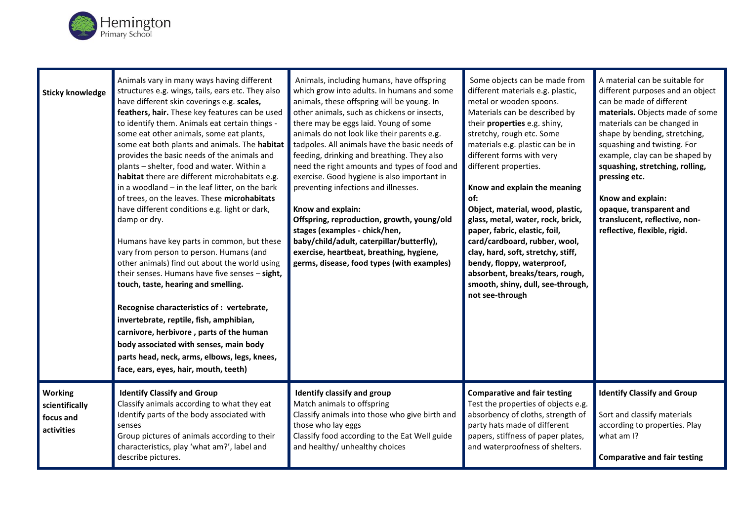

| <b>Sticky knowledge</b>                                     | Animals vary in many ways having different<br>structures e.g. wings, tails, ears etc. They also<br>have different skin coverings e.g. scales,<br>feathers, hair. These key features can be used<br>to identify them. Animals eat certain things -<br>some eat other animals, some eat plants,<br>some eat both plants and animals. The habitat<br>provides the basic needs of the animals and<br>plants - shelter, food and water. Within a<br>habitat there are different microhabitats e.g.<br>in a woodland - in the leaf litter, on the bark<br>of trees, on the leaves. These microhabitats<br>have different conditions e.g. light or dark,<br>damp or dry.<br>Humans have key parts in common, but these<br>vary from person to person. Humans (and<br>other animals) find out about the world using<br>their senses. Humans have five senses - sight,<br>touch, taste, hearing and smelling.<br>Recognise characteristics of : vertebrate,<br>invertebrate, reptile, fish, amphibian,<br>carnivore, herbivore, parts of the human<br>body associated with senses, main body<br>parts head, neck, arms, elbows, legs, knees,<br>face, ears, eyes, hair, mouth, teeth) | Animals, including humans, have offspring<br>which grow into adults. In humans and some<br>animals, these offspring will be young. In<br>other animals, such as chickens or insects,<br>there may be eggs laid. Young of some<br>animals do not look like their parents e.g.<br>tadpoles. All animals have the basic needs of<br>feeding, drinking and breathing. They also<br>need the right amounts and types of food and<br>exercise. Good hygiene is also important in<br>preventing infections and illnesses.<br>Know and explain:<br>Offspring, reproduction, growth, young/old<br>stages (examples - chick/hen,<br>baby/child/adult, caterpillar/butterfly),<br>exercise, heartbeat, breathing, hygiene,<br>germs, disease, food types (with examples) | Some objects can be made from<br>different materials e.g. plastic,<br>metal or wooden spoons.<br>Materials can be described by<br>their properties e.g. shiny,<br>stretchy, rough etc. Some<br>materials e.g. plastic can be in<br>different forms with very<br>different properties.<br>Know and explain the meaning<br>of:<br>Object, material, wood, plastic,<br>glass, metal, water, rock, brick,<br>paper, fabric, elastic, foil,<br>card/cardboard, rubber, wool,<br>clay, hard, soft, stretchy, stiff,<br>bendy, floppy, waterproof,<br>absorbent, breaks/tears, rough,<br>smooth, shiny, dull, see-through,<br>not see-through | A material can be suitable for<br>different purposes and an object<br>can be made of different<br>materials. Objects made of some<br>materials can be changed in<br>shape by bending, stretching,<br>squashing and twisting. For<br>example, clay can be shaped by<br>squashing, stretching, rolling,<br>pressing etc.<br>Know and explain:<br>opaque, transparent and<br>translucent, reflective, non-<br>reflective, flexible, rigid. |
|-------------------------------------------------------------|------------------------------------------------------------------------------------------------------------------------------------------------------------------------------------------------------------------------------------------------------------------------------------------------------------------------------------------------------------------------------------------------------------------------------------------------------------------------------------------------------------------------------------------------------------------------------------------------------------------------------------------------------------------------------------------------------------------------------------------------------------------------------------------------------------------------------------------------------------------------------------------------------------------------------------------------------------------------------------------------------------------------------------------------------------------------------------------------------------------------------------------------------------------------------|---------------------------------------------------------------------------------------------------------------------------------------------------------------------------------------------------------------------------------------------------------------------------------------------------------------------------------------------------------------------------------------------------------------------------------------------------------------------------------------------------------------------------------------------------------------------------------------------------------------------------------------------------------------------------------------------------------------------------------------------------------------|----------------------------------------------------------------------------------------------------------------------------------------------------------------------------------------------------------------------------------------------------------------------------------------------------------------------------------------------------------------------------------------------------------------------------------------------------------------------------------------------------------------------------------------------------------------------------------------------------------------------------------------|-----------------------------------------------------------------------------------------------------------------------------------------------------------------------------------------------------------------------------------------------------------------------------------------------------------------------------------------------------------------------------------------------------------------------------------------|
| <b>Working</b><br>scientifically<br>focus and<br>activities | <b>Identify Classify and Group</b><br>Classify animals according to what they eat<br>Identify parts of the body associated with<br>senses<br>Group pictures of animals according to their<br>characteristics, play 'what am?', label and<br>describe pictures.                                                                                                                                                                                                                                                                                                                                                                                                                                                                                                                                                                                                                                                                                                                                                                                                                                                                                                               | Identify classify and group<br>Match animals to offspring<br>Classify animals into those who give birth and<br>those who lay eggs<br>Classify food according to the Eat Well guide<br>and healthy/ unhealthy choices                                                                                                                                                                                                                                                                                                                                                                                                                                                                                                                                          | <b>Comparative and fair testing</b><br>Test the properties of objects e.g.<br>absorbency of cloths, strength of<br>party hats made of different<br>papers, stiffness of paper plates,<br>and waterproofness of shelters.                                                                                                                                                                                                                                                                                                                                                                                                               | <b>Identify Classify and Group</b><br>Sort and classify materials<br>according to properties. Play<br>what am I?<br><b>Comparative and fair testing</b>                                                                                                                                                                                                                                                                                 |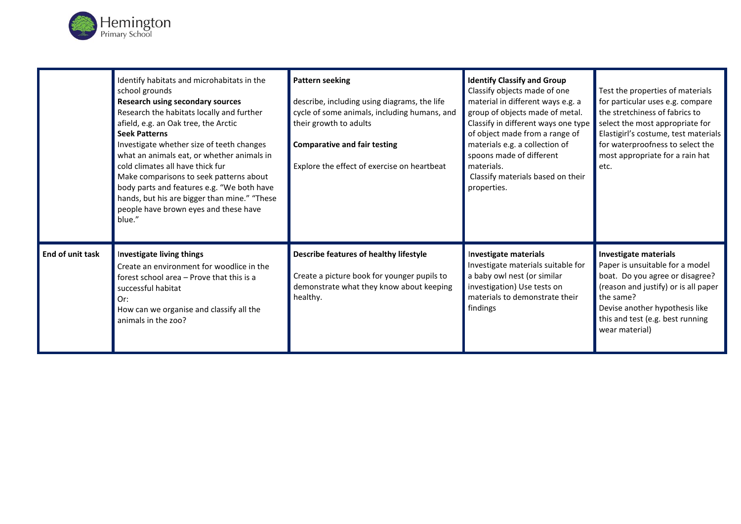

|                         | Identify habitats and microhabitats in the<br>school grounds<br><b>Research using secondary sources</b><br>Research the habitats locally and further<br>afield, e.g. an Oak tree, the Arctic<br><b>Seek Patterns</b><br>Investigate whether size of teeth changes<br>what an animals eat, or whether animals in<br>cold climates all have thick fur<br>Make comparisons to seek patterns about<br>body parts and features e.g. "We both have<br>hands, but his are bigger than mine." "These<br>people have brown eyes and these have<br>blue." | <b>Pattern seeking</b><br>describe, including using diagrams, the life<br>cycle of some animals, including humans, and<br>their growth to adults<br><b>Comparative and fair testing</b><br>Explore the effect of exercise on heartbeat | <b>Identify Classify and Group</b><br>Classify objects made of one<br>material in different ways e.g. a<br>group of objects made of metal.<br>Classify in different ways one type<br>of object made from a range of<br>materials e.g. a collection of<br>spoons made of different<br>materials.<br>Classify materials based on their<br>properties. | Test the properties of materials<br>for particular uses e.g. compare<br>the stretchiness of fabrics to<br>select the most appropriate for<br>Elastigirl's costume, test materials<br>for waterproofness to select the<br>most appropriate for a rain hat<br>etc. |
|-------------------------|-------------------------------------------------------------------------------------------------------------------------------------------------------------------------------------------------------------------------------------------------------------------------------------------------------------------------------------------------------------------------------------------------------------------------------------------------------------------------------------------------------------------------------------------------|----------------------------------------------------------------------------------------------------------------------------------------------------------------------------------------------------------------------------------------|-----------------------------------------------------------------------------------------------------------------------------------------------------------------------------------------------------------------------------------------------------------------------------------------------------------------------------------------------------|------------------------------------------------------------------------------------------------------------------------------------------------------------------------------------------------------------------------------------------------------------------|
| <b>End of unit task</b> | Investigate living things<br>Create an environment for woodlice in the<br>forest school area - Prove that this is a<br>successful habitat<br>Or:<br>How can we organise and classify all the<br>animals in the zoo?                                                                                                                                                                                                                                                                                                                             | Describe features of healthy lifestyle<br>Create a picture book for younger pupils to<br>demonstrate what they know about keeping<br>healthy.                                                                                          | Investigate materials<br>Investigate materials suitable for<br>a baby owl nest (or similar<br>investigation) Use tests on<br>materials to demonstrate their<br>findings                                                                                                                                                                             | <b>Investigate materials</b><br>Paper is unsuitable for a model<br>boat. Do you agree or disagree?<br>(reason and justify) or is all paper<br>the same?<br>Devise another hypothesis like<br>this and test (e.g. best running<br>wear material)                  |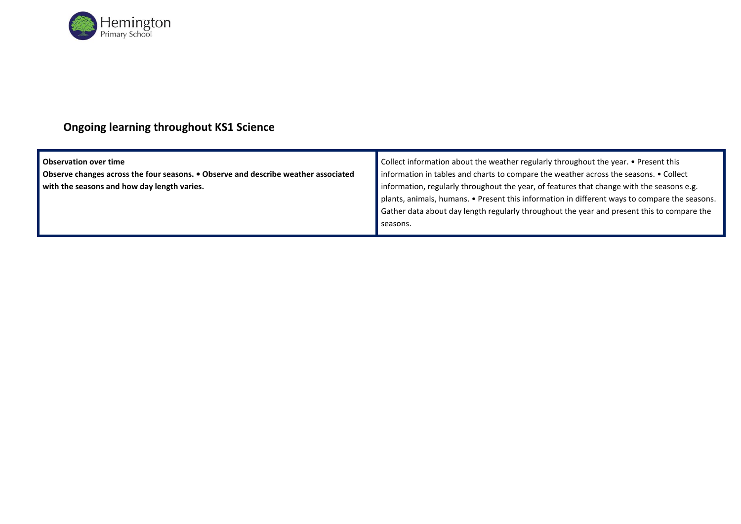

## **Ongoing learning throughout KS1 Science**

| <b>Observation over time</b>                                                              | Collect information about the weather regularly throughout the year. • Present this           |  |
|-------------------------------------------------------------------------------------------|-----------------------------------------------------------------------------------------------|--|
| <b>Observe changes across the four seasons. • Observe and describe weather associated</b> | information in tables and charts to compare the weather across the seasons. • Collect         |  |
| with the seasons and how day length varies.                                               | information, regularly throughout the year, of features that change with the seasons e.g.     |  |
|                                                                                           | plants, animals, humans. • Present this information in different ways to compare the seasons. |  |
|                                                                                           | Gather data about day length regularly throughout the year and present this to compare the    |  |
|                                                                                           | seasons.                                                                                      |  |
|                                                                                           |                                                                                               |  |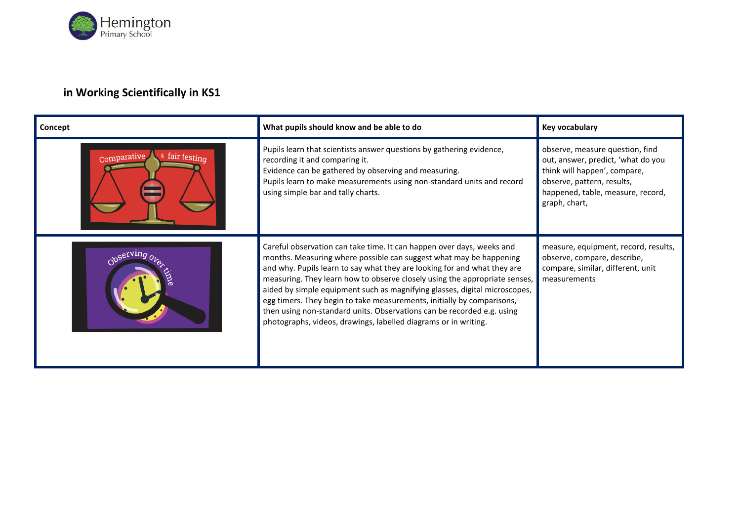

### **in Working Scientifically in KS1**

| Concept                       | What pupils should know and be able to do                                                                                                                                                                                                                                                                                                                                                                                                                                                                                                                                                                  | Key vocabulary                                                                                                                                                                            |
|-------------------------------|------------------------------------------------------------------------------------------------------------------------------------------------------------------------------------------------------------------------------------------------------------------------------------------------------------------------------------------------------------------------------------------------------------------------------------------------------------------------------------------------------------------------------------------------------------------------------------------------------------|-------------------------------------------------------------------------------------------------------------------------------------------------------------------------------------------|
| & fair testing<br>Comparative | Pupils learn that scientists answer questions by gathering evidence,<br>recording it and comparing it.<br>Evidence can be gathered by observing and measuring.<br>Pupils learn to make measurements using non-standard units and record<br>using simple bar and tally charts.                                                                                                                                                                                                                                                                                                                              | observe, measure question, find<br>out, answer, predict, 'what do you<br>think will happen', compare,<br>observe, pattern, results,<br>happened, table, measure, record,<br>graph, chart, |
|                               | Careful observation can take time. It can happen over days, weeks and<br>months. Measuring where possible can suggest what may be happening<br>and why. Pupils learn to say what they are looking for and what they are<br>measuring. They learn how to observe closely using the appropriate senses,<br>aided by simple equipment such as magnifying glasses, digital microscopes,<br>egg timers. They begin to take measurements, initially by comparisons,<br>then using non-standard units. Observations can be recorded e.g. using<br>photographs, videos, drawings, labelled diagrams or in writing. | measure, equipment, record, results,<br>observe, compare, describe,<br>compare, similar, different, unit<br>measurements                                                                  |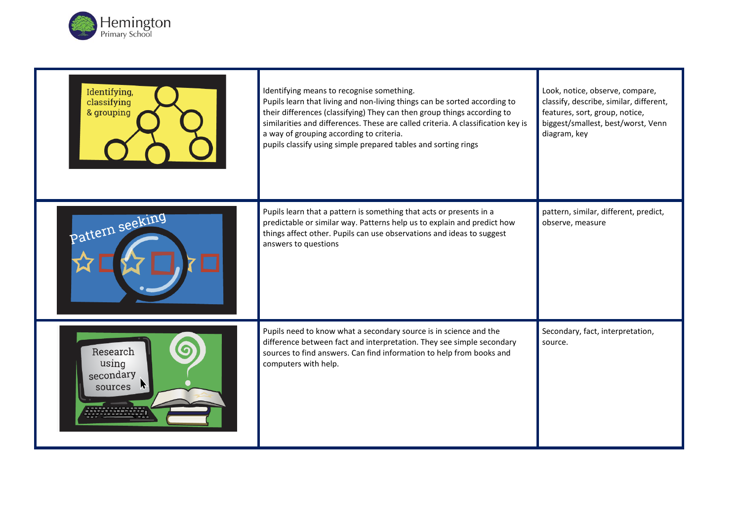

| Identifying,<br>classifying<br>& grouping | Identifying means to recognise something.<br>Pupils learn that living and non-living things can be sorted according to<br>their differences (classifying) They can then group things according to<br>similarities and differences. These are called criteria. A classification key is<br>a way of grouping according to criteria.<br>pupils classify using simple prepared tables and sorting rings | Look, notice, observe, compare,<br>classify, describe, similar, different,<br>features, sort, group, notice,<br>biggest/smallest, best/worst, Venn<br>diagram, key |
|-------------------------------------------|-----------------------------------------------------------------------------------------------------------------------------------------------------------------------------------------------------------------------------------------------------------------------------------------------------------------------------------------------------------------------------------------------------|--------------------------------------------------------------------------------------------------------------------------------------------------------------------|
| Pattern seeking                           | Pupils learn that a pattern is something that acts or presents in a<br>predictable or similar way. Patterns help us to explain and predict how<br>things affect other. Pupils can use observations and ideas to suggest<br>answers to questions                                                                                                                                                     | pattern, similar, different, predict,<br>observe, measure                                                                                                          |
| Research<br>using<br>secondary<br>sources | Pupils need to know what a secondary source is in science and the<br>difference between fact and interpretation. They see simple secondary<br>sources to find answers. Can find information to help from books and<br>computers with help.                                                                                                                                                          | Secondary, fact, interpretation,<br>source.                                                                                                                        |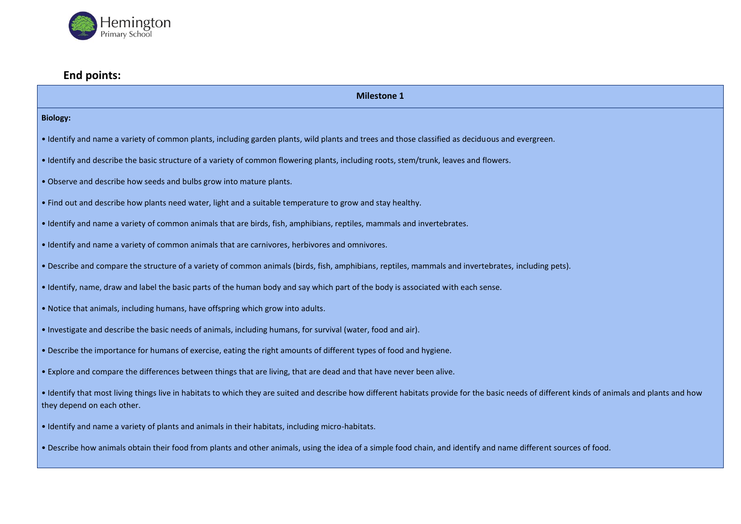

#### **End points:**

**Milestone 1** 

#### **Biology:**

- Identify and name a variety of common plants, including garden plants, wild plants and trees and those classified as deciduous and evergreen.
- Identify and describe the basic structure of a variety of common flowering plants, including roots, stem/trunk, leaves and flowers.
- Observe and describe how seeds and bulbs grow into mature plants.
- Find out and describe how plants need water, light and a suitable temperature to grow and stay healthy.
- Identify and name a variety of common animals that are birds, fish, amphibians, reptiles, mammals and invertebrates.
- Identify and name a variety of common animals that are carnivores, herbivores and omnivores.
- Describe and compare the structure of a variety of common animals (birds, fish, amphibians, reptiles, mammals and invertebrates, including pets).
- Identify, name, draw and label the basic parts of the human body and say which part of the body is associated with each sense.
- Notice that animals, including humans, have offspring which grow into adults.
- Investigate and describe the basic needs of animals, including humans, for survival (water, food and air).
- Describe the importance for humans of exercise, eating the right amounts of different types of food and hygiene.
- Explore and compare the differences between things that are living, that are dead and that have never been alive.
- Identify that most living things live in habitats to which they are suited and describe how different habitats provide for the basic needs of different kinds of animals and plants and how they depend on each other.
- Identify and name a variety of plants and animals in their habitats, including micro-habitats.
- Describe how animals obtain their food from plants and other animals, using the idea of a simple food chain, and identify and name different sources of food.